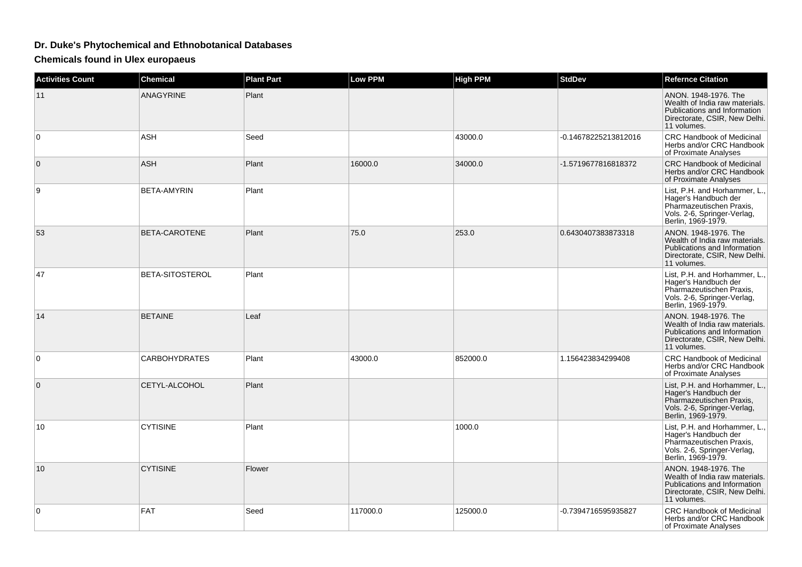## **Dr. Duke's Phytochemical and Ethnobotanical Databases**

**Chemicals found in Ulex europaeus**

| <b>Activities Count</b> | <b>Chemical</b>      | <b>Plant Part</b> | Low PPM  | <b>High PPM</b> | <b>StdDev</b>        | <b>Refernce Citation</b>                                                                                                               |
|-------------------------|----------------------|-------------------|----------|-----------------|----------------------|----------------------------------------------------------------------------------------------------------------------------------------|
| 11                      | <b>ANAGYRINE</b>     | Plant             |          |                 |                      | ANON. 1948-1976. The<br>Wealth of India raw materials.<br>Publications and Information<br>Directorate, CSIR, New Delhi.<br>11 volumes. |
| 0                       | <b>ASH</b>           | Seed              |          | 43000.0         | -0.14678225213812016 | <b>CRC Handbook of Medicinal</b><br>Herbs and/or CRC Handbook<br>of Proximate Analyses                                                 |
| $\mathbf 0$             | <b>ASH</b>           | Plant             | 16000.0  | 34000.0         | -1.5719677816818372  | <b>CRC Handbook of Medicinal</b><br>Herbs and/or CRC Handbook<br>of Proximate Analyses                                                 |
| 9                       | BETA-AMYRIN          | Plant             |          |                 |                      | List, P.H. and Horhammer, L.,<br>Hager's Handbuch der<br>Pharmazeutischen Praxis,<br>Vols. 2-6, Springer-Verlag,<br>Berlin, 1969-1979. |
| 53                      | BETA-CAROTENE        | Plant             | 75.0     | 253.0           | 0.6430407383873318   | ANON. 1948-1976. The<br>Wealth of India raw materials.<br>Publications and Information<br>Directorate, CSIR, New Delhi.<br>11 volumes. |
| 47                      | BETA-SITOSTEROL      | Plant             |          |                 |                      | List, P.H. and Horhammer, L.,<br>Hager's Handbuch der<br>Pharmazeutischen Praxis,<br>Vols. 2-6, Springer-Verlag,<br>Berlin, 1969-1979. |
| 14                      | <b>BETAINE</b>       | Leaf              |          |                 |                      | ANON. 1948-1976. The<br>Wealth of India raw materials.<br>Publications and Information<br>Directorate, CSIR, New Delhi.<br>11 volumes. |
| 0                       | <b>CARBOHYDRATES</b> | Plant             | 43000.0  | 852000.0        | 1.156423834299408    | <b>CRC Handbook of Medicinal</b><br>Herbs and/or CRC Handbook<br>of Proximate Analyses                                                 |
| $\mathbf 0$             | CETYL-ALCOHOL        | Plant             |          |                 |                      | List, P.H. and Horhammer, L.,<br>Hager's Handbuch der<br>Pharmazeutischen Praxis,<br>Vols. 2-6, Springer-Verlag,<br>Berlin, 1969-1979. |
| 10                      | <b>CYTISINE</b>      | Plant             |          | 1000.0          |                      | List, P.H. and Horhammer, L.,<br>Hager's Handbuch der<br>Pharmazeutischen Praxis,<br>Vols. 2-6, Springer-Verlag,<br>Berlin, 1969-1979. |
| 10                      | <b>CYTISINE</b>      | Flower            |          |                 |                      | ANON. 1948-1976. The<br>Wealth of India raw materials.<br>Publications and Information<br>Directorate, CSIR, New Delhi.<br>11 volumes. |
| 0                       | <b>FAT</b>           | Seed              | 117000.0 | 125000.0        | -0.7394716595935827  | CRC Handbook of Medicinal<br>Herbs and/or CRC Handbook<br>of Proximate Analyses                                                        |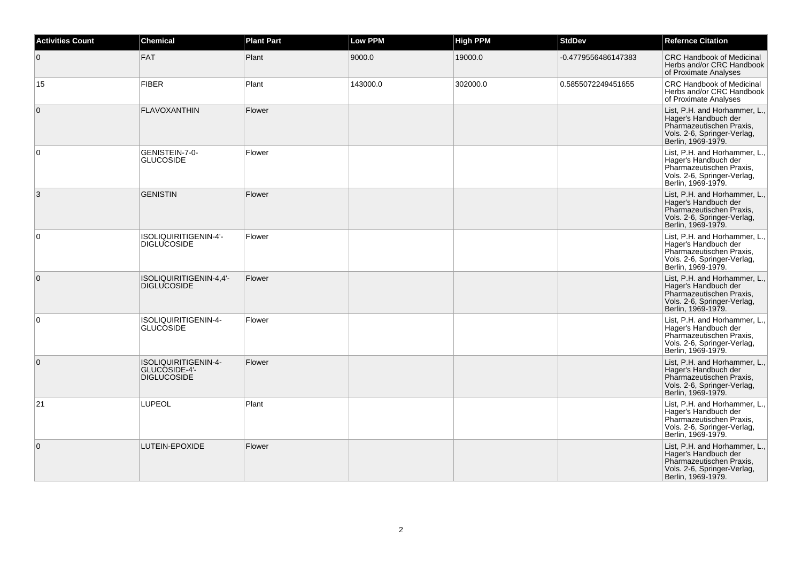| <b>Activities Count</b> | <b>Chemical</b>                                             | <b>Plant Part</b> | <b>Low PPM</b> | <b>High PPM</b> | <b>StdDev</b>       | <b>Refernce Citation</b>                                                                                                               |
|-------------------------|-------------------------------------------------------------|-------------------|----------------|-----------------|---------------------|----------------------------------------------------------------------------------------------------------------------------------------|
| $\mathbf{0}$            | <b>FAT</b>                                                  | Plant             | 9000.0         | 19000.0         | -0.4779556486147383 | <b>CRC Handbook of Medicinal</b><br>Herbs and/or CRC Handbook<br>of Proximate Analyses                                                 |
| 15                      | <b>FIBER</b>                                                | Plant             | 143000.0       | 302000.0        | 0.5855072249451655  | CRC Handbook of Medicinal<br>Herbs and/or CRC Handbook<br>of Proximate Analyses                                                        |
| $\mathbf{0}$            | <b>FLAVOXANTHIN</b>                                         | Flower            |                |                 |                     | List, P.H. and Horhammer, L.,<br>Hager's Handbuch der<br>Pharmazeutischen Praxis,<br>Vols. 2-6, Springer-Verlag,<br>Berlin, 1969-1979. |
| $\mathbf 0$             | GENISTEIN-7-0-<br><b>GLUCOSIDE</b>                          | Flower            |                |                 |                     | List, P.H. and Horhammer, L.,<br>Hager's Handbuch der<br>Pharmazeutischen Praxis,<br>Vols. 2-6, Springer-Verlag,<br>Berlin, 1969-1979. |
| 3                       | <b>GENISTIN</b>                                             | Flower            |                |                 |                     | List, P.H. and Horhammer, L.,<br>Hager's Handbuch der<br>Pharmazeutischen Praxis,<br>Vols. 2-6, Springer-Verlag,<br>Berlin, 1969-1979. |
| $\mathbf 0$             | ISOLIQUIRITIGENIN-4'-<br><b>DIGLUCOSIDE</b>                 | Flower            |                |                 |                     | List, P.H. and Horhammer, L.,<br>Hager's Handbuch der<br>Pharmazeutischen Praxis,<br>Vols. 2-6, Springer-Verlag,<br>Berlin, 1969-1979. |
| $\mathbf 0$             | ISOLIQUIRITIGENIN-4,4'-<br><b>DIGLUCOSIDE</b>               | Flower            |                |                 |                     | List, P.H. and Horhammer, L.,<br>Hager's Handbuch der<br>Pharmazeutischen Praxis,<br>Vols. 2-6, Springer-Verlag,<br>Berlin, 1969-1979. |
| 0                       | ISOLIQUIRITIGENIN-4-<br><b>GLUCOSIDE</b>                    | Flower            |                |                 |                     | List, P.H. and Horhammer, L.,<br>Hager's Handbuch der<br>Pharmazeutischen Praxis.<br>Vols. 2-6, Springer-Verlag,<br>Berlin, 1969-1979. |
| $\mathbf{0}$            | ISOLIQUIRITIGENIN-4-<br>GLUCOSIDE-4'-<br><b>DIGLUCOSIDE</b> | Flower            |                |                 |                     | List, P.H. and Horhammer, L.,<br>Hager's Handbuch der<br>Pharmazeutischen Praxis,<br>Vols. 2-6, Springer-Verlag,<br>Berlin, 1969-1979. |
| 21                      | <b>LUPEOL</b>                                               | Plant             |                |                 |                     | List, P.H. and Horhammer, L.,<br>Hager's Handbuch der<br>Pharmazeutischen Praxis,<br>Vols. 2-6, Springer-Verlag,<br>Berlin, 1969-1979. |
| $\mathbf{0}$            | LUTEIN-EPOXIDE                                              | Flower            |                |                 |                     | List, P.H. and Horhammer, L.,<br>Hager's Handbuch der<br>Pharmazeutischen Praxis,<br>Vols. 2-6, Springer-Verlag,<br>Berlin, 1969-1979. |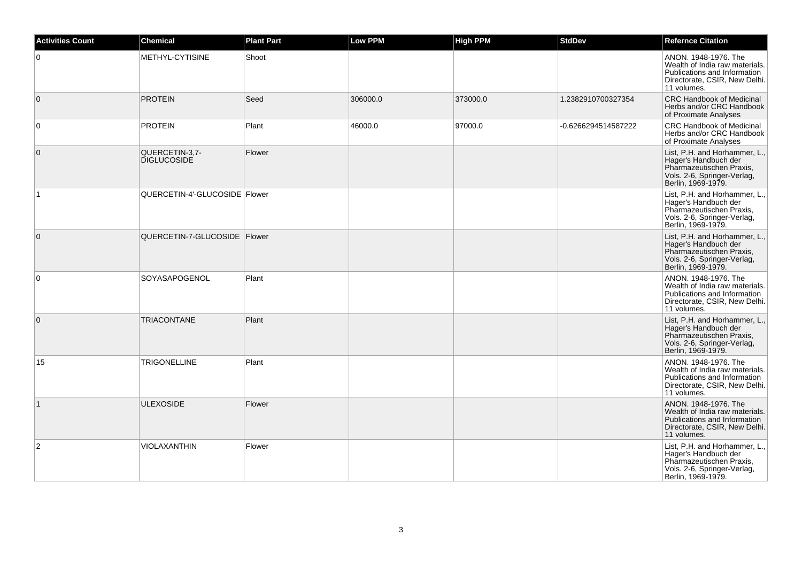| <b>Activities Count</b> | <b>Chemical</b>                      | <b>Plant Part</b> | <b>Low PPM</b> | <b>High PPM</b> | <b>StdDev</b>       | <b>Refernce Citation</b>                                                                                                               |
|-------------------------|--------------------------------------|-------------------|----------------|-----------------|---------------------|----------------------------------------------------------------------------------------------------------------------------------------|
| 0                       | METHYL-CYTISINE                      | Shoot             |                |                 |                     | ANON, 1948-1976. The<br>Wealth of India raw materials.<br>Publications and Information<br>Directorate, CSIR, New Delhi.<br>11 volumes. |
| $\mathbf{0}$            | <b>PROTEIN</b>                       | Seed              | 306000.0       | 373000.0        | 1.2382910700327354  | <b>CRC Handbook of Medicinal</b><br>Herbs and/or CRC Handbook<br>of Proximate Analyses                                                 |
| $\mathbf 0$             | <b>PROTEIN</b>                       | Plant             | 46000.0        | 97000.0         | -0.6266294514587222 | <b>CRC Handbook of Medicinal</b><br>Herbs and/or CRC Handbook<br>of Proximate Analyses                                                 |
| $\mathbf{0}$            | QUERCETIN-3,7-<br><b>DIGLUCOSIDE</b> | Flower            |                |                 |                     | List, P.H. and Horhammer, L.,<br>Hager's Handbuch der<br>Pharmazeutischen Praxis,<br>Vols. 2-6, Springer-Verlag,<br>Berlin, 1969-1979. |
| $\mathbf{1}$            | QUERCETIN-4'-GLUCOSIDE   Flower      |                   |                |                 |                     | List, P.H. and Horhammer, L.,<br>Hager's Handbuch der<br>Pharmazeutischen Praxis,<br>Vols. 2-6, Springer-Verlag,<br>Berlin, 1969-1979. |
| $\overline{0}$          | QUERCETIN-7-GLUCOSIDE   Flower       |                   |                |                 |                     | List, P.H. and Horhammer, L.,<br>Hager's Handbuch der<br>Pharmazeutischen Praxis,<br>Vols. 2-6, Springer-Verlag,<br>Berlin, 1969-1979. |
| 0                       | SOYASAPOGENOL                        | Plant             |                |                 |                     | ANON, 1948-1976. The<br>Wealth of India raw materials.<br>Publications and Information<br>Directorate, CSIR, New Delhi.<br>11 volumes. |
| $\mathbf 0$             | <b>TRIACONTANE</b>                   | Plant             |                |                 |                     | List, P.H. and Horhammer, L.,<br>Hager's Handbuch der<br>Pharmazeutischen Praxis,<br>Vols. 2-6, Springer-Verlag,<br>Berlin, 1969-1979. |
| 15                      | <b>TRIGONELLINE</b>                  | Plant             |                |                 |                     | ANON. 1948-1976. The<br>Wealth of India raw materials.<br>Publications and Information<br>Directorate, CSIR, New Delhi.<br>11 volumes. |
| $\mathbf{1}$            | <b>ULEXOSIDE</b>                     | Flower            |                |                 |                     | ANON, 1948-1976. The<br>Wealth of India raw materials.<br>Publications and Information<br>Directorate, CSIR, New Delhi.<br>11 volumes. |
| $\overline{2}$          | VIOLAXANTHIN                         | Flower            |                |                 |                     | List, P.H. and Horhammer, L.,<br>Hager's Handbuch der<br>Pharmazeutischen Praxis,<br>Vols. 2-6, Springer-Verlag,<br>Berlin, 1969-1979. |